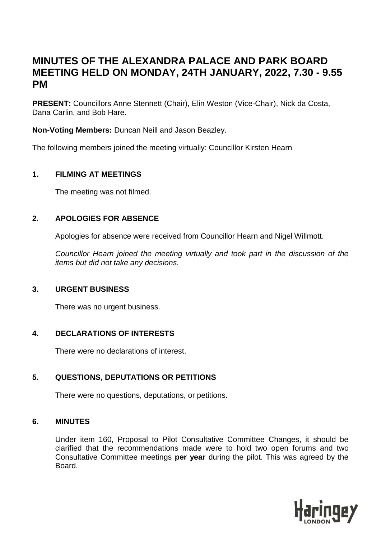# **MINUTES OF THE ALEXANDRA PALACE AND PARK BOARD MEETING HELD ON MONDAY, 24TH JANUARY, 2022, 7.30 - 9.55 PM**

**PRESENT:** Councillors Anne Stennett (Chair), Elin Weston (Vice-Chair), Nick da Costa, Dana Carlin, and Bob Hare.

**Non-Voting Members:** Duncan Neill and Jason Beazley.

The following members joined the meeting virtually: Councillor Kirsten Hearn

## **1. FILMING AT MEETINGS**

The meeting was not filmed.

# **2. APOLOGIES FOR ABSENCE**

Apologies for absence were received from Councillor Hearn and Nigel Willmott.

*Councillor Hearn joined the meeting virtually and took part in the discussion of the items but did not take any decisions.*

# **3. URGENT BUSINESS**

There was no urgent business.

# **4. DECLARATIONS OF INTERESTS**

There were no declarations of interest.

# **5. QUESTIONS, DEPUTATIONS OR PETITIONS**

There were no questions, deputations, or petitions.

## **6. MINUTES**

Under item 160, Proposal to Pilot Consultative Committee Changes, it should be clarified that the recommendations made were to hold two open forums and two Consultative Committee meetings **per year** during the pilot. This was agreed by the Board.

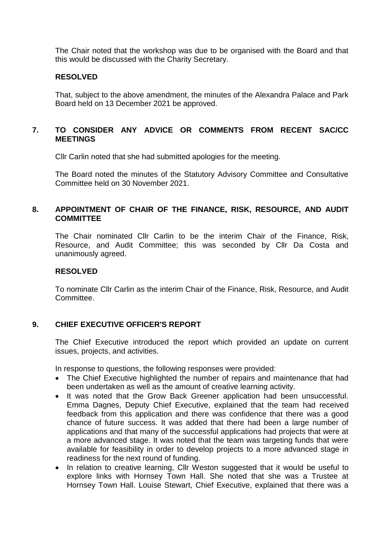The Chair noted that the workshop was due to be organised with the Board and that this would be discussed with the Charity Secretary.

## **RESOLVED**

That, subject to the above amendment, the minutes of the Alexandra Palace and Park Board held on 13 December 2021 be approved.

## **7. TO CONSIDER ANY ADVICE OR COMMENTS FROM RECENT SAC/CC MEETINGS**

Cllr Carlin noted that she had submitted apologies for the meeting.

The Board noted the minutes of the Statutory Advisory Committee and Consultative Committee held on 30 November 2021.

## **8. APPOINTMENT OF CHAIR OF THE FINANCE, RISK, RESOURCE, AND AUDIT COMMITTEE**

The Chair nominated Cllr Carlin to be the interim Chair of the Finance, Risk, Resource, and Audit Committee; this was seconded by Cllr Da Costa and unanimously agreed.

#### **RESOLVED**

To nominate Cllr Carlin as the interim Chair of the Finance, Risk, Resource, and Audit Committee.

## **9. CHIEF EXECUTIVE OFFICER'S REPORT**

The Chief Executive introduced the report which provided an update on current issues, projects, and activities.

In response to questions, the following responses were provided:

- The Chief Executive highlighted the number of repairs and maintenance that had been undertaken as well as the amount of creative learning activity.
- It was noted that the Grow Back Greener application had been unsuccessful. Emma Dagnes, Deputy Chief Executive, explained that the team had received feedback from this application and there was confidence that there was a good chance of future success. It was added that there had been a large number of applications and that many of the successful applications had projects that were at a more advanced stage. It was noted that the team was targeting funds that were available for feasibility in order to develop projects to a more advanced stage in readiness for the next round of funding.
- In relation to creative learning, Cllr Weston suggested that it would be useful to explore links with Hornsey Town Hall. She noted that she was a Trustee at Hornsey Town Hall. Louise Stewart, Chief Executive, explained that there was a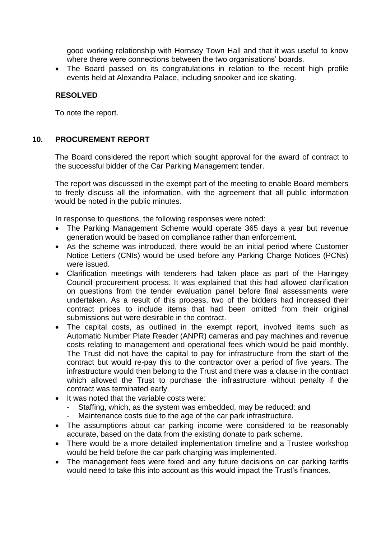good working relationship with Hornsey Town Hall and that it was useful to know where there were connections between the two organisations' boards.

 The Board passed on its congratulations in relation to the recent high profile events held at Alexandra Palace, including snooker and ice skating.

## **RESOLVED**

To note the report.

## **10. PROCUREMENT REPORT**

The Board considered the report which sought approval for the award of contract to the successful bidder of the Car Parking Management tender.

The report was discussed in the exempt part of the meeting to enable Board members to freely discuss all the information, with the agreement that all public information would be noted in the public minutes.

In response to questions, the following responses were noted:

- The Parking Management Scheme would operate 365 days a year but revenue generation would be based on compliance rather than enforcement.
- As the scheme was introduced, there would be an initial period where Customer Notice Letters (CNIs) would be used before any Parking Charge Notices (PCNs) were issued.
- Clarification meetings with tenderers had taken place as part of the Haringey Council procurement process. It was explained that this had allowed clarification on questions from the tender evaluation panel before final assessments were undertaken. As a result of this process, two of the bidders had increased their contract prices to include items that had been omitted from their original submissions but were desirable in the contract.
- The capital costs, as outlined in the exempt report, involved items such as Automatic Number Plate Reader (ANPR) cameras and pay machines and revenue costs relating to management and operational fees which would be paid monthly. The Trust did not have the capital to pay for infrastructure from the start of the contract but would re-pay this to the contractor over a period of five years. The infrastructure would then belong to the Trust and there was a clause in the contract which allowed the Trust to purchase the infrastructure without penalty if the contract was terminated early.
- It was noted that the variable costs were:
	- Staffing, which, as the system was embedded, may be reduced: and
	- Maintenance costs due to the age of the car park infrastructure.
- The assumptions about car parking income were considered to be reasonably accurate, based on the data from the existing donate to park scheme.
- There would be a more detailed implementation timeline and a Trustee workshop would be held before the car park charging was implemented.
- The management fees were fixed and any future decisions on car parking tariffs would need to take this into account as this would impact the Trust's finances.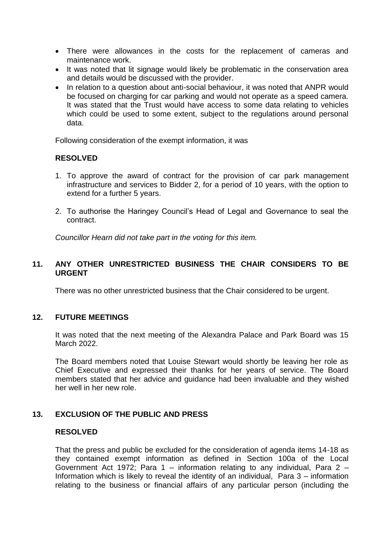- There were allowances in the costs for the replacement of cameras and maintenance work.
- It was noted that lit signage would likely be problematic in the conservation area and details would be discussed with the provider.
- In relation to a question about anti-social behaviour, it was noted that ANPR would be focused on charging for car parking and would not operate as a speed camera. It was stated that the Trust would have access to some data relating to vehicles which could be used to some extent, subject to the regulations around personal data.

Following consideration of the exempt information, it was

#### **RESOLVED**

- 1. To approve the award of contract for the provision of car park management infrastructure and services to Bidder 2, for a period of 10 years, with the option to extend for a further 5 years.
- 2. To authorise the Haringey Council's Head of Legal and Governance to seal the contract.

*Councillor Hearn did not take part in the voting for this item.*

## **11. ANY OTHER UNRESTRICTED BUSINESS THE CHAIR CONSIDERS TO BE URGENT**

There was no other unrestricted business that the Chair considered to be urgent.

#### **12. FUTURE MEETINGS**

It was noted that the next meeting of the Alexandra Palace and Park Board was 15 March 2022.

The Board members noted that Louise Stewart would shortly be leaving her role as Chief Executive and expressed their thanks for her years of service. The Board members stated that her advice and guidance had been invaluable and they wished her well in her new role.

## **13. EXCLUSION OF THE PUBLIC AND PRESS**

#### **RESOLVED**

That the press and public be excluded for the consideration of agenda items 14-18 as they contained exempt information as defined in Section 100a of the Local Government Act 1972; Para 1 – information relating to any individual, Para 2 – Information which is likely to reveal the identity of an individual, Para 3 – information relating to the business or financial affairs of any particular person (including the